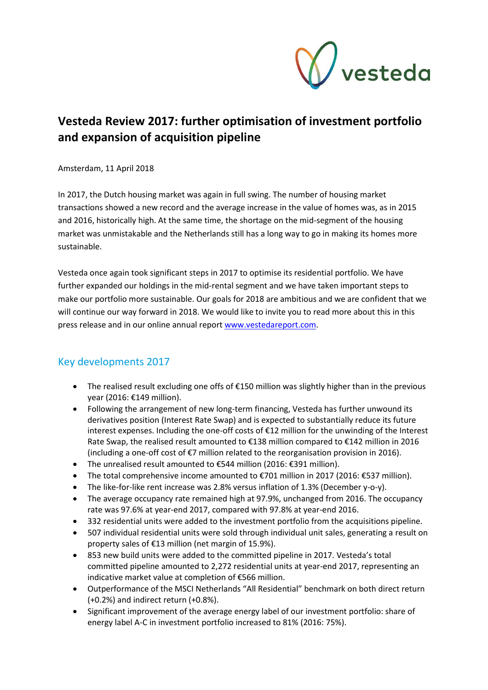

# **Vesteda Review 2017: further optimisation of investment portfolio and expansion of acquisition pipeline**

Amsterdam, 11 April 2018

In 2017, the Dutch housing market was again in full swing. The number of housing market transactions showed a new record and the average increase in the value of homes was, as in 2015 and 2016, historically high. At the same time, the shortage on the mid-segment of the housing market was unmistakable and the Netherlands still has a long way to go in making its homes more sustainable.

Vesteda once again took significant steps in 2017 to optimise its residential portfolio. We have further expanded our holdings in the mid-rental segment and we have taken important steps to make our portfolio more sustainable. Our goals for 2018 are ambitious and we are confident that we will continue our way forward in 2018. We would like to invite you to read more about this in this press release and in our online annual report [www.vestedareport.com.](http://www.vestedareport.com/)

# Key developments 2017

- The realised result excluding one offs of €150 million was slightly higher than in the previous year (2016: €149 million).
- Following the arrangement of new long-term financing, Vesteda has further unwound its derivatives position (Interest Rate Swap) and is expected to substantially reduce its future interest expenses. Including the one-off costs of €12 million for the unwinding of the Interest Rate Swap, the realised result amounted to €138 million compared to €142 million in 2016 (including a one-off cost of €7 million related to the reorganisation provision in 2016).
- The unrealised result amounted to €544 million (2016: €391 million).
- The total comprehensive income amounted to €701 million in 2017 (2016: €537 million).
- The like-for-like rent increase was 2.8% versus inflation of 1.3% (December y-o-y).
- The average occupancy rate remained high at 97.9%, unchanged from 2016. The occupancy rate was 97.6% at year-end 2017, compared with 97.8% at year-end 2016.
- 332 residential units were added to the investment portfolio from the acquisitions pipeline.
- 507 individual residential units were sold through individual unit sales, generating a result on property sales of €13 million (net margin of 15.9%).
- 853 new build units were added to the committed pipeline in 2017. Vesteda's total committed pipeline amounted to 2,272 residential units at year-end 2017, representing an indicative market value at completion of €566 million.
- Outperformance of the MSCI Netherlands "All Residential" benchmark on both direct return (+0.2%) and indirect return (+0.8%).
- Significant improvement of the average energy label of our investment portfolio: share of energy label A-C in investment portfolio increased to 81% (2016: 75%).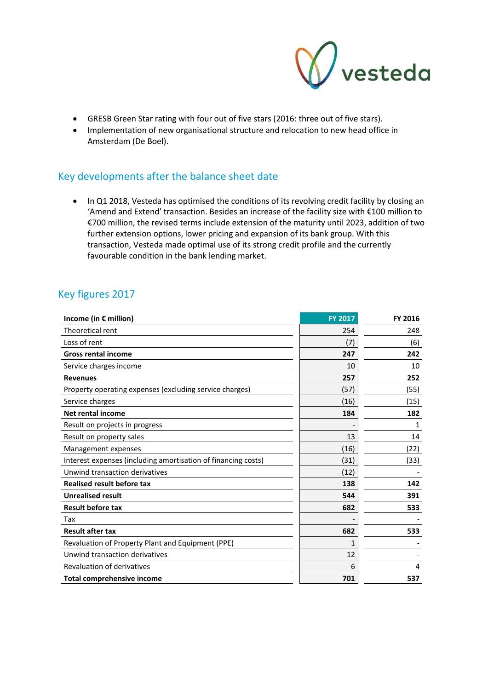

- GRESB Green Star rating with four out of five stars (2016: three out of five stars).
- Implementation of new organisational structure and relocation to new head office in Amsterdam (De Boel).

# Key developments after the balance sheet date

• In Q1 2018, Vesteda has optimised the conditions of its revolving credit facility by closing an 'Amend and Extend' transaction. Besides an increase of the facility size with €100 million to €700 million, the revised terms include extension of the maturity until 2023, addition of two further extension options, lower pricing and expansion of its bank group. With this transaction, Vesteda made optimal use of its strong credit profile and the currently favourable condition in the bank lending market.

# Key figures 2017

| Income (in € million)                                         | <b>FY 2017</b> | FY 2016 |
|---------------------------------------------------------------|----------------|---------|
| Theoretical rent                                              | 254            | 248     |
| Loss of rent                                                  | (7)            | (6)     |
| <b>Gross rental income</b>                                    | 247            | 242     |
| Service charges income                                        | 10             | 10      |
| <b>Revenues</b>                                               | 257            | 252     |
| Property operating expenses (excluding service charges)       | (57)           | (55)    |
| Service charges                                               | (16)           | (15)    |
| <b>Net rental income</b>                                      | 184            | 182     |
| Result on projects in progress                                |                | 1       |
| Result on property sales                                      | 13             | 14      |
| Management expenses                                           | (16)           | (22)    |
| Interest expenses (including amortisation of financing costs) | (31)           | (33)    |
| Unwind transaction derivatives                                | (12)           |         |
| <b>Realised result before tax</b>                             | 138            | 142     |
| <b>Unrealised result</b>                                      | 544            | 391     |
| <b>Result before tax</b>                                      | 682            | 533     |
| Tax                                                           |                |         |
| <b>Result after tax</b>                                       | 682            | 533     |
| Revaluation of Property Plant and Equipment (PPE)             | 1              |         |
| Unwind transaction derivatives                                | 12             |         |
| <b>Revaluation of derivatives</b>                             | 6              | 4       |
| <b>Total comprehensive income</b>                             | 701            | 537     |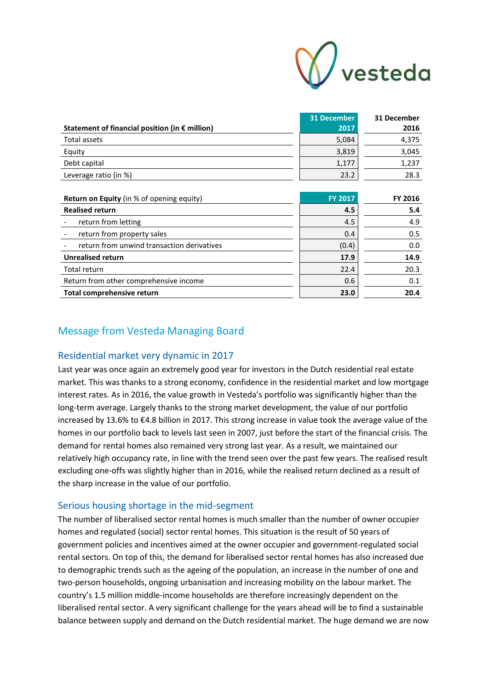

|                                                         | 31 December | 31 December |
|---------------------------------------------------------|-------------|-------------|
| Statement of financial position (in $\epsilon$ million) | 2017        | 2016        |
| Total assets                                            | 5,084       | 4,375       |
| Equity                                                  | 3,819       | 3,045       |
| Debt capital                                            | 1,177       | 1,237       |
| Leverage ratio (in %)                                   | 23.2        | 28.3        |
|                                                         |             |             |

| Return on Equity (in % of opening equity)  | <b>FY 2017</b> | FY 2016 |
|--------------------------------------------|----------------|---------|
| <b>Realised return</b>                     | 4.5            | 5.4     |
| return from letting                        | 4.5            | 4.9     |
| return from property sales                 | 0.4            | 0.5     |
| return from unwind transaction derivatives | (0.4)          | 0.0     |
| <b>Unrealised return</b>                   | 17.9           | 14.9    |
| Total return                               | 22.4           | 20.3    |
| Return from other comprehensive income     | 0.6            | 0.1     |
| Total comprehensive return                 | 23.0           | 20.4    |

## Message from Vesteda Managing Board

#### Residential market very dynamic in 2017

Last year was once again an extremely good year for investors in the Dutch residential real estate market. This was thanks to a strong economy, confidence in the residential market and low mortgage interest rates. As in 2016, the value growth in Vesteda's portfolio was significantly higher than the long-term average. Largely thanks to the strong market development, the value of our portfolio increased by 13.6% to €4.8 billion in 2017. This strong increase in value took the average value of the homes in our portfolio back to levels last seen in 2007, just before the start of the financial crisis. The demand for rental homes also remained very strong last year. As a result, we maintained our relatively high occupancy rate, in line with the trend seen over the past few years. The realised result excluding one-offs was slightly higher than in 2016, while the realised return declined as a result of the sharp increase in the value of our portfolio.

#### Serious housing shortage in the mid-segment

The number of liberalised sector rental homes is much smaller than the number of owner occupier homes and regulated (social) sector rental homes. This situation is the result of 50 years of government policies and incentives aimed at the owner occupier and government-regulated social rental sectors. On top of this, the demand for liberalised sector rental homes has also increased due to demographic trends such as the ageing of the population, an increase in the number of one and two-person households, ongoing urbanisation and increasing mobility on the labour market. The country's 1.5 million middle-income households are therefore increasingly dependent on the liberalised rental sector. A very significant challenge for the years ahead will be to find a sustainable balance between supply and demand on the Dutch residential market. The huge demand we are now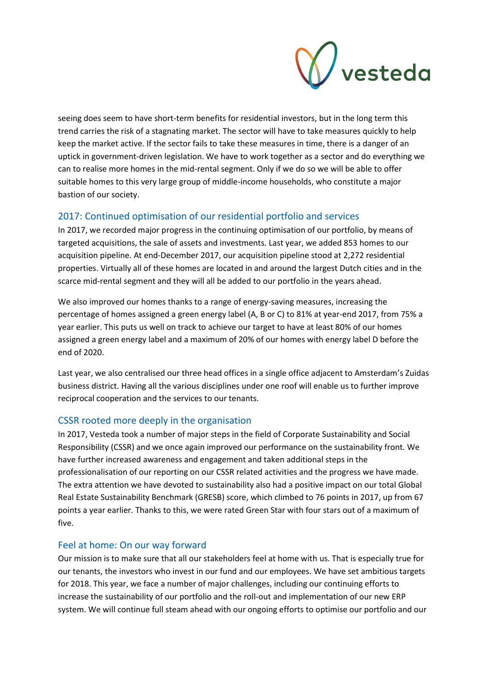

seeing does seem to have short-term benefits for residential investors, but in the long term this trend carries the risk of a stagnating market. The sector will have to take measures quickly to help keep the market active. If the sector fails to take these measures in time, there is a danger of an uptick in government-driven legislation. We have to work together as a sector and do everything we can to realise more homes in the mid-rental segment. Only if we do so we will be able to offer suitable homes to this very large group of middle-income households, who constitute a major bastion of our society.

### 2017: Continued optimisation of our residential portfolio and services

In 2017, we recorded major progress in the continuing optimisation of our portfolio, by means of targeted acquisitions, the sale of assets and investments. Last year, we added 853 homes to our acquisition pipeline. At end-December 2017, our acquisition pipeline stood at 2,272 residential properties. Virtually all of these homes are located in and around the largest Dutch cities and in the scarce mid-rental segment and they will all be added to our portfolio in the years ahead.

We also improved our homes thanks to a range of energy-saving measures, increasing the percentage of homes assigned a green energy label (A, B or C) to 81% at year-end 2017, from 75% a year earlier. This puts us well on track to achieve our target to have at least 80% of our homes assigned a green energy label and a maximum of 20% of our homes with energy label D before the end of 2020.

Last year, we also centralised our three head offices in a single office adjacent to Amsterdam's Zuidas business district. Having all the various disciplines under one roof will enable us to further improve reciprocal cooperation and the services to our tenants.

### CSSR rooted more deeply in the organisation

In 2017, Vesteda took a number of major steps in the field of Corporate Sustainability and Social Responsibility (CSSR) and we once again improved our performance on the sustainability front. We have further increased awareness and engagement and taken additional steps in the professionalisation of our reporting on our CSSR related activities and the progress we have made. The extra attention we have devoted to sustainability also had a positive impact on our total Global Real Estate Sustainability Benchmark (GRESB) score, which climbed to 76 points in 2017, up from 67 points a year earlier. Thanks to this, we were rated Green Star with four stars out of a maximum of five.

### Feel at home: On our way forward

Our mission is to make sure that all our stakeholders feel at home with us. That is especially true for our tenants, the investors who invest in our fund and our employees. We have set ambitious targets for 2018. This year, we face a number of major challenges, including our continuing efforts to increase the sustainability of our portfolio and the roll-out and implementation of our new ERP system. We will continue full steam ahead with our ongoing efforts to optimise our portfolio and our